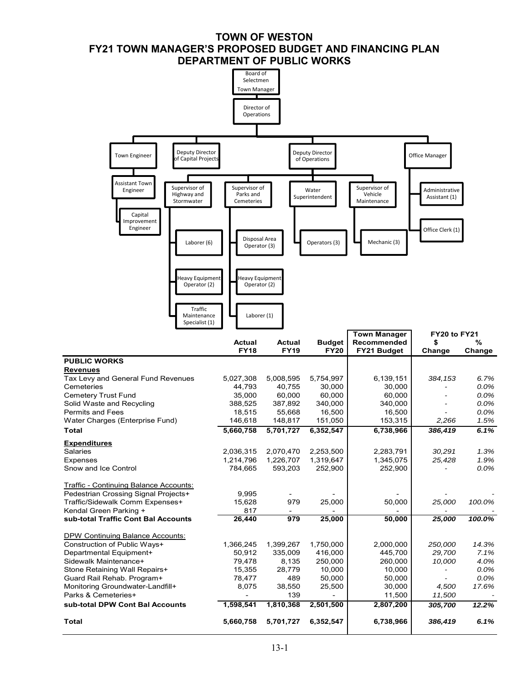# **TOWN OF WESTON FY21 TOWN MANAGER'S PROPOSED BUDGET AND FINANCING PLAN DEPARTMENT OF PUBLIC WORKS**

|                                                                                                                                                                                                                                                                       | Board of<br>Selectmen<br><b>Town Manager</b><br>Director of<br>Operations  |                                                                            |                                                                            |                                                                            |                                                     |                                                          |
|-----------------------------------------------------------------------------------------------------------------------------------------------------------------------------------------------------------------------------------------------------------------------|----------------------------------------------------------------------------|----------------------------------------------------------------------------|----------------------------------------------------------------------------|----------------------------------------------------------------------------|-----------------------------------------------------|----------------------------------------------------------|
| Deputy Director<br><b>Town Engineer</b><br>of Capital Projects                                                                                                                                                                                                        |                                                                            |                                                                            | Deputy Director<br>of Operations                                           |                                                                            | Office Manager                                      |                                                          |
| Assistant Town<br>Supervisor of<br>Engineer<br>Highway and<br>Stormwater<br>Capital<br>Improvement<br>Engineer<br>Laborer (6)                                                                                                                                         | Supervisor of<br>Parks and<br>Cemeteries<br>Disposal Area<br>Operator (3)  |                                                                            | Water<br>Superintendent<br>Operators (3)                                   | Supervisor of<br>Vehicle<br>Maintenance<br>Mechanic (3)                    | Administrative<br>Assistant (1)<br>Office Clerk (1) |                                                          |
| Heavy Equipment<br>Operator (2)<br>Traffic<br>Maintenance<br>Specialist (1)                                                                                                                                                                                           | <b>Heavy Equipment</b><br>Operator (2)<br>Laborer (1)                      |                                                                            |                                                                            | <b>Town Manager</b>                                                        | FY20 to FY21                                        |                                                          |
|                                                                                                                                                                                                                                                                       | Actual<br><b>FY18</b>                                                      | Actual<br><b>FY19</b>                                                      | <b>Budget</b><br><b>FY20</b>                                               | Recommended<br>FY21 Budget                                                 | \$<br>Change                                        | %<br>Change                                              |
| <b>PUBLIC WORKS</b><br><b>Revenues</b><br>Tax Levy and General Fund Revenues<br>Cemeteries<br><b>Cemetery Trust Fund</b><br>Solid Waste and Recycling<br><b>Permits and Fees</b><br>Water Charges (Enterprise Fund)<br><b>Total</b>                                   | 5,027,308<br>44,793<br>35,000<br>388,525<br>18,515<br>146,618<br>5,660,758 | 5,008,595<br>40,755<br>60,000<br>387,892<br>55,668<br>148,817<br>5,701,727 | 5,754,997<br>30,000<br>60,000<br>340,000<br>16,500<br>151,050<br>6,352,547 | 6,139,151<br>30,000<br>60,000<br>340,000<br>16,500<br>153,315<br>6,738,966 | 384,153<br>2,266<br>386,419                         | 6.7%<br>0.0%<br>0.0%<br>0.0%<br>0.0%<br>1.5%<br>6.1%     |
| <u>Expenditures</u><br>Salaries<br>Expenses<br>Snow and Ice Control                                                                                                                                                                                                   | 2,036,315<br>1,214,796<br>784,665                                          | 2.070.470<br>1,226,707<br>593,203                                          | 2,253,500<br>1,319,647<br>252,900                                          | 2,283,791<br>1,345,075<br>252,900                                          | 30,291<br>25,428                                    | 1.3%<br>1.9%<br>0.0%                                     |
| <b>Traffic - Continuing Balance Accounts:</b>                                                                                                                                                                                                                         |                                                                            |                                                                            |                                                                            |                                                                            |                                                     |                                                          |
| Pedestrian Crossing Signal Projects+<br>Traffic/Sidewalk Comm Expenses+<br>Kendal Green Parking +                                                                                                                                                                     | 9,995<br>15,628<br>817                                                     | 979                                                                        | 25,000                                                                     | 50,000                                                                     | 25,000                                              | 100.0%                                                   |
| sub-total Traffic Cont Bal Accounts<br><b>DPW Continuing Balance Accounts:</b><br>Construction of Public Ways+<br>Departmental Equipment+<br>Sidewalk Maintenance+<br>Stone Retaining Wall Repairs+<br>Guard Rail Rehab. Program+<br>Monitoring Groundwater-Landfill+ | 26,440<br>1,366,245<br>50,912<br>79,478<br>15,355<br>78,477<br>8,075       | 979<br>1,399,267<br>335,009<br>8,135<br>28,779<br>489<br>38,550            | 25,000<br>1,750,000<br>416,000<br>250,000<br>10,000<br>50,000<br>25,500    | 50,000<br>2,000,000<br>445,700<br>260,000<br>10,000<br>50,000<br>30,000    | 25,000<br>250,000<br>29,700<br>10,000<br>4,500      | 100.0%<br>14.3%<br>7.1%<br>4.0%<br>0.0%<br>0.0%<br>17.6% |
| Parks & Cemeteries+<br>sub-total DPW Cont Bal Accounts                                                                                                                                                                                                                | 1,598,541                                                                  | 139<br>1,810,368                                                           | 2,501,500                                                                  | 11,500<br>2,807,200                                                        | 11,500<br>305,700                                   | 12.2%                                                    |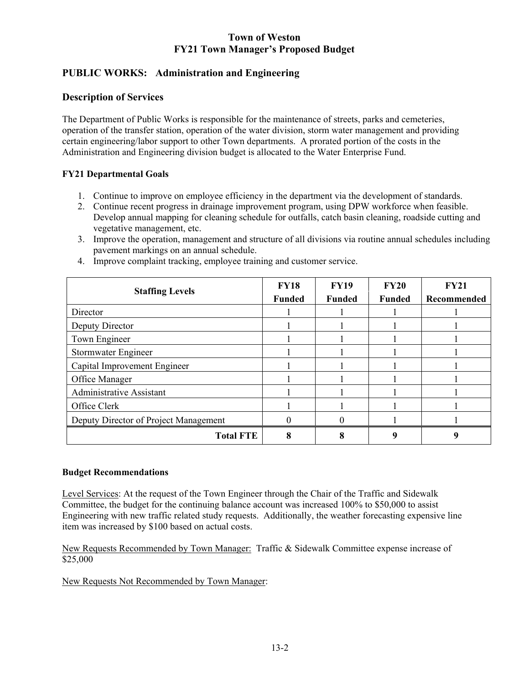# **PUBLIC WORKS: Administration and Engineering**

## **Description of Services**

The Department of Public Works is responsible for the maintenance of streets, parks and cemeteries, operation of the transfer station, operation of the water division, storm water management and providing certain engineering/labor support to other Town departments. A prorated portion of the costs in the Administration and Engineering division budget is allocated to the Water Enterprise Fund.

### **FY21 Departmental Goals**

- 1. Continue to improve on employee efficiency in the department via the development of standards.
- 2. Continue recent progress in drainage improvement program, using DPW workforce when feasible. Develop annual mapping for cleaning schedule for outfalls, catch basin cleaning, roadside cutting and vegetative management, etc.
- 3. Improve the operation, management and structure of all divisions via routine annual schedules including pavement markings on an annual schedule.

| <b>Staffing Levels</b>                | <b>FY18</b>   | <b>FY19</b>   | <b>FY20</b>   | <b>FY21</b> |
|---------------------------------------|---------------|---------------|---------------|-------------|
|                                       | <b>Funded</b> | <b>Funded</b> | <b>Funded</b> | Recommended |
| Director                              |               |               |               |             |
| Deputy Director                       |               |               |               |             |
| Town Engineer                         |               |               |               |             |
| Stormwater Engineer                   |               |               |               |             |
| Capital Improvement Engineer          |               |               |               |             |
| Office Manager                        |               |               |               |             |
| <b>Administrative Assistant</b>       |               |               |               |             |
| Office Clerk                          |               |               |               |             |
| Deputy Director of Project Management |               |               |               |             |
| <b>Total FTE</b>                      |               |               |               |             |

4. Improve complaint tracking, employee training and customer service.

### **Budget Recommendations**

Level Services: At the request of the Town Engineer through the Chair of the Traffic and Sidewalk Committee, the budget for the continuing balance account was increased 100% to \$50,000 to assist Engineering with new traffic related study requests. Additionally, the weather forecasting expensive line item was increased by \$100 based on actual costs.

New Requests Recommended by Town Manager: Traffic & Sidewalk Committee expense increase of \$25,000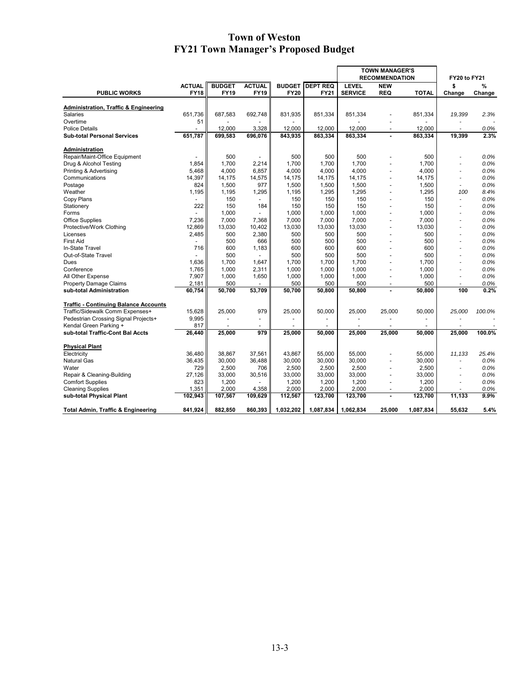|                                                      |                              |                              |                              |                              |                         | <b>TOWN MANAGER'S</b>          |                          |                          |                       |              |  |
|------------------------------------------------------|------------------------------|------------------------------|------------------------------|------------------------------|-------------------------|--------------------------------|--------------------------|--------------------------|-----------------------|--------------|--|
|                                                      |                              |                              |                              |                              |                         | <b>RECOMMENDATION</b>          |                          |                          | FY20 to FY21          |              |  |
| <b>PUBLIC WORKS</b>                                  | <b>ACTUAL</b><br><b>FY18</b> | <b>BUDGET</b><br><b>FY19</b> | <b>ACTUAL</b><br><b>FY19</b> | <b>BUDGET</b><br><b>FY20</b> | <b>DEPT REQ</b><br>FY21 | <b>LEVEL</b><br><b>SERVICE</b> | <b>NEW</b><br><b>REQ</b> | <b>TOTAL</b>             | \$<br>Change          | ℅<br>Change  |  |
|                                                      |                              |                              |                              |                              |                         |                                |                          |                          |                       |              |  |
| <b>Administration, Traffic &amp; Engineering</b>     |                              |                              |                              |                              |                         |                                |                          |                          |                       |              |  |
| <b>Salaries</b>                                      | 651.736                      | 687.583                      | 692,748                      | 831,935                      | 851,334                 | 851,334                        |                          | 851,334                  | 19,399                | 2.3%         |  |
| Overtime                                             | 51                           |                              |                              |                              |                         |                                |                          |                          |                       |              |  |
| <b>Police Details</b>                                |                              | 12,000                       | 3,328                        | 12,000                       | 12,000                  | 12,000                         | $\overline{a}$           | 12,000                   | ÷                     | 0.0%         |  |
| <b>Sub-total Personal Services</b>                   | 651,787                      | 699,583                      | 696,076                      | 843,935                      | 863,334                 | 863,334                        | ٠                        | 863,334                  | 19,399                | 2.3%         |  |
| Administration                                       |                              |                              |                              |                              |                         |                                |                          |                          |                       |              |  |
| Repair/Maint-Office Equipment                        |                              | 500                          | $\overline{\phantom{a}}$     | 500                          | 500                     | 500                            |                          | 500                      |                       | 0.0%         |  |
| Drug & Alcohol Testing                               | 1,854                        | 1.700                        | 2.214                        | 1,700                        | 1,700                   | 1,700                          |                          | 1,700                    |                       | 0.0%         |  |
| Printing & Advertising                               | 5,468                        | 4,000                        | 6,857                        | 4,000                        | 4,000                   | 4,000                          | $\overline{a}$           | 4,000                    | $\overline{a}$        | 0.0%         |  |
| Communications                                       | 14,397                       | 14,175                       | 14,575                       | 14,175                       | 14,175                  | 14,175                         |                          | 14,175                   | ٠                     | 0.0%         |  |
| Postage                                              | 824                          | 1.500                        | 977                          | 1,500                        | 1,500                   | 1,500                          | $\overline{\phantom{a}}$ | 1,500                    | ٠                     | 0.0%         |  |
| Weather                                              | 1,195                        | 1,195                        | 1,295                        | 1,195                        | 1,295                   | 1,295                          | $\overline{a}$           | 1,295                    | 100                   | 8.4%         |  |
| Copy Plans                                           |                              | 150                          |                              | 150                          | 150                     | 150                            |                          | 150                      | ä,                    | 0.0%         |  |
| Stationery                                           | 222                          | 150                          | 184                          | 150                          | 150                     | 150                            |                          | 150                      | ٠                     | 0.0%         |  |
| Forms                                                |                              | 1,000                        |                              | 1,000                        | 1,000                   | 1,000                          | $\overline{a}$           | 1,000                    | $\overline{a}$        | 0.0%         |  |
| <b>Office Supplies</b>                               | 7,236                        | 7,000                        | 7,368                        | 7,000                        | 7,000                   | 7,000                          |                          | 7,000                    | ٠                     | 0.0%         |  |
| Protective/Work Clothing                             | 12,869                       | 13,030                       | 10,402                       | 13,030                       | 13,030                  | 13,030                         | $\overline{a}$           | 13,030                   | $\overline{a}$        | 0.0%         |  |
| Licenses                                             | 2,485                        | 500                          | 2,380                        | 500                          | 500                     | 500                            |                          | 500                      | ä,                    | 0.0%         |  |
| <b>First Aid</b>                                     |                              | 500                          | 666                          | 500                          | 500                     | 500                            | $\overline{a}$           | 500                      | ٠                     | 0.0%         |  |
| In-State Travel                                      | 716                          | 600                          | 1,183                        | 600                          | 600                     | 600                            |                          | 600                      | ٠                     | 0.0%         |  |
| Out-of-State Travel                                  |                              | 500                          |                              | 500                          | 500                     | 500                            |                          | 500                      | ä,                    | 0.0%         |  |
| Dues                                                 | 1,636                        | 1.700                        | 1,647                        | 1,700                        | 1,700                   | 1,700                          |                          | 1,700                    | ä,                    | 0.0%         |  |
| Conference                                           | 1,765                        | 1,000                        | 2,311                        | 1,000                        | 1,000                   | 1,000                          | $\overline{a}$           | 1,000                    | $\overline{a}$        | 0.0%         |  |
| All Other Expense                                    | 7,907                        | 1,000                        | 1,650                        | 1,000                        | 1,000                   | 1,000                          | $\overline{a}$           | 1,000                    | ٠                     | 0.0%         |  |
| <b>Property Damage Claims</b>                        | 2,181                        | 500                          |                              | 500                          | 500                     | 500                            | $\overline{a}$           | 500                      | $\tilde{\phantom{a}}$ | 0.0%         |  |
| sub-total Administration                             | 60,754                       | 50,700                       | 53,709                       | 50,700                       | 50,800                  | 50,800                         | ٠                        | 50,800                   | 100                   | 0.2%         |  |
| <b>Traffic - Continuing Balance Accounts</b>         |                              |                              |                              |                              |                         |                                |                          |                          |                       |              |  |
| Traffic/Sidewalk Comm Expenses+                      | 15,628                       | 25,000                       | 979                          | 25,000                       | 50,000                  | 25,000                         | 25,000                   | 50,000                   | 25,000                | 100.0%       |  |
| Pedestrian Crossing Signal Projects+                 | 9,995                        |                              | $\overline{\phantom{a}}$     |                              |                         | $\overline{\phantom{a}}$       |                          | $\overline{\phantom{a}}$ |                       |              |  |
| Kendal Green Parking +                               | 817                          |                              |                              |                              |                         |                                |                          |                          | $\overline{a}$        |              |  |
| sub-total Traffic-Cont Bal Accts                     | 26,440                       | 25,000                       | 979                          | 25,000                       | 50,000                  | 25,000                         | 25,000                   | 50,000                   | 25,000                | 100.0%       |  |
|                                                      |                              |                              |                              |                              |                         |                                |                          |                          |                       |              |  |
| <b>Physical Plant</b>                                |                              | 38.867                       |                              |                              |                         | 55.000                         |                          |                          |                       | 25.4%        |  |
| Electricity                                          | 36.480                       |                              | 37,561                       | 43,867                       | 55,000                  |                                |                          | 55,000                   | 11,133                |              |  |
| <b>Natural Gas</b><br>Water                          | 36,435<br>729                | 30,000<br>2,500              | 36,488<br>706                | 30,000<br>2,500              | 30,000<br>2,500         | 30,000<br>2,500                |                          | 30,000<br>2,500          | ٠                     | 0.0%<br>0.0% |  |
|                                                      | 27,126                       | 33,000                       |                              | 33,000                       | 33,000                  | 33,000                         | $\overline{a}$           | 33,000                   | ä,                    | 0.0%         |  |
| Repair & Cleaning-Building                           | 823                          | 1,200                        | 30,516                       |                              |                         |                                | $\overline{a}$           |                          | $\overline{a}$        | 0.0%         |  |
| <b>Comfort Supplies</b>                              |                              |                              |                              | 1,200<br>2,000               | 1,200                   | 1,200                          |                          | 1,200                    | ä,                    |              |  |
| <b>Cleaning Supplies</b><br>sub-total Physical Plant | 1,351<br>102,943             | 2,000<br>107,567             | 4,358<br>109,629             | 112,567                      | 2,000<br>123,700        | 2,000<br>123,700               | ä,                       | 2,000<br>123,700         | 11,133                | 0.0%<br>9.9% |  |
|                                                      |                              |                              |                              |                              |                         |                                |                          |                          |                       |              |  |
| <b>Total Admin, Traffic &amp; Engineering</b>        | 841,924                      | 882,850                      | 860,393                      | 1,032,202                    | 1,087,834               | 1,062,834                      | 25,000                   | 1,087,834                | 55,632                | 5.4%         |  |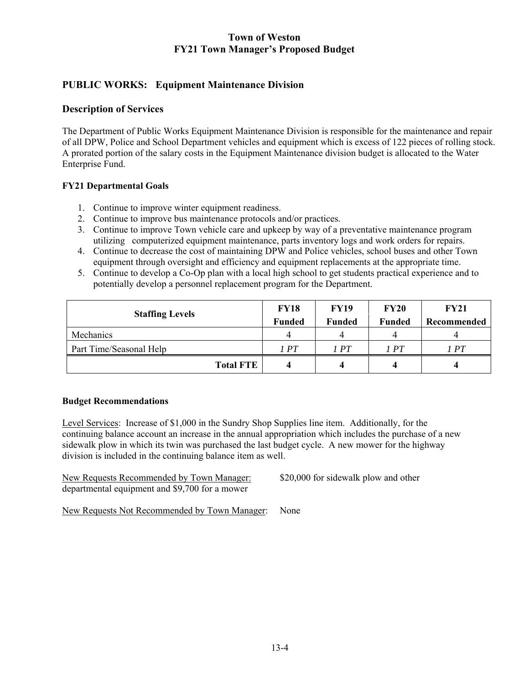# **PUBLIC WORKS: Equipment Maintenance Division**

### **Description of Services**

The Department of Public Works Equipment Maintenance Division is responsible for the maintenance and repair of all DPW, Police and School Department vehicles and equipment which is excess of 122 pieces of rolling stock. A prorated portion of the salary costs in the Equipment Maintenance division budget is allocated to the Water Enterprise Fund.

### **FY21 Departmental Goals**

- 1. Continue to improve winter equipment readiness.
- 2. Continue to improve bus maintenance protocols and/or practices.
- 3. Continue to improve Town vehicle care and upkeep by way of a preventative maintenance program utilizing computerized equipment maintenance, parts inventory logs and work orders for repairs.
- 4. Continue to decrease the cost of maintaining DPW and Police vehicles, school buses and other Town equipment through oversight and efficiency and equipment replacements at the appropriate time.
- 5. Continue to develop a Co-Op plan with a local high school to get students practical experience and to potentially develop a personnel replacement program for the Department.

| <b>Staffing Levels</b>  | <b>FY18</b>   | <b>FY19</b>   | <b>FY20</b>   | <b>FY21</b> |
|-------------------------|---------------|---------------|---------------|-------------|
|                         | <b>Funded</b> | <b>Funded</b> | <b>Funded</b> | Recommended |
| Mechanics               |               |               |               |             |
| Part Time/Seasonal Help | 1 PT          | 1 PT          | 1 PT          | 1 PT        |
| <b>Total FTE</b>        |               |               |               | 4           |

#### **Budget Recommendations**

Level Services: Increase of \$1,000 in the Sundry Shop Supplies line item. Additionally, for the continuing balance account an increase in the annual appropriation which includes the purchase of a new sidewalk plow in which its twin was purchased the last budget cycle. A new mower for the highway division is included in the continuing balance item as well.

| New Requests Recommended by Town Manager:      |  |
|------------------------------------------------|--|
| departmental equipment and \$9,700 for a mower |  |

\$20,000 for sidewalk plow and other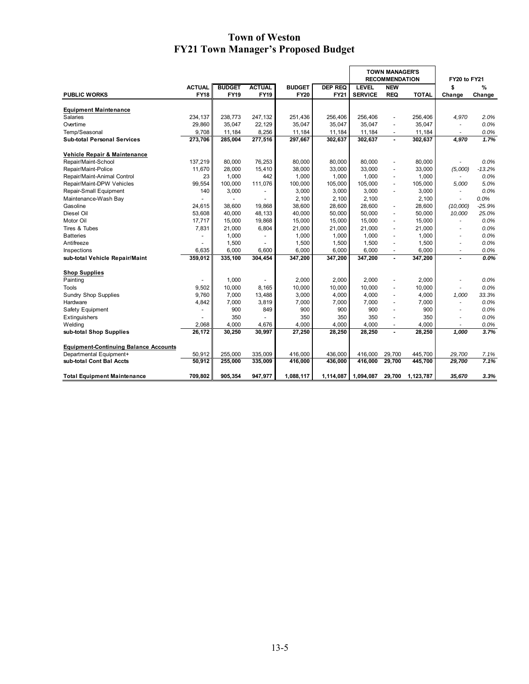|                                              |                          |               |                          |               |                | <b>TOWN MANAGER'S</b><br><b>RECOMMENDATION</b> |                          | FY20 to FY21 |                          |          |
|----------------------------------------------|--------------------------|---------------|--------------------------|---------------|----------------|------------------------------------------------|--------------------------|--------------|--------------------------|----------|
|                                              | <b>ACTUAL</b>            | <b>BUDGET</b> | <b>ACTUAL</b>            | <b>BUDGET</b> | <b>DEP REQ</b> | <b>LEVEL</b>                                   | <b>NEW</b>               |              | \$                       | %        |
| <b>PUBLIC WORKS</b>                          | <b>FY18</b>              | <b>FY19</b>   | <b>FY19</b>              | <b>FY20</b>   | <b>FY21</b>    | <b>SERVICE</b>                                 | <b>REQ</b>               | <b>TOTAL</b> | Change                   | Change   |
| <b>Equipment Maintenance</b>                 |                          |               |                          |               |                |                                                |                          |              |                          |          |
| Salaries                                     | 234,137                  | 238,773       | 247,132                  | 251,436       | 256,406        | 256,406                                        |                          | 256,406      | 4,970                    | 2.0%     |
| Overtime                                     | 29.860                   | 35,047        | 22,129                   | 35,047        | 35,047         | 35.047                                         | $\overline{a}$           | 35.047       | ٠                        | 0.0%     |
| Temp/Seasonal                                | 9,708                    | 11,184        | 8,256                    | 11,184        | 11,184         | 11,184                                         |                          | 11,184       | $\blacksquare$           | 0.0%     |
| <b>Sub-total Personal Services</b>           | 273,706                  | 285,004       | 277,516                  | 297,667       | 302,637        | 302,637                                        | $\blacksquare$           | 302,637      | 4,970                    | 1.7%     |
| Vehicle Repair & Maintenance                 |                          |               |                          |               |                |                                                |                          |              |                          |          |
| Repair/Maint-School                          | 137,219                  | 80.000        | 76,253                   | 80,000        | 80.000         | 80.000                                         | $\overline{a}$           | 80.000       |                          | 0.0%     |
| Repair/Maint-Police                          | 11,670                   | 28,000        | 15,410                   | 38,000        | 33,000         | 33,000                                         | $\blacksquare$           | 33,000       | (5,000)                  | $-13.2%$ |
| Repair/Maint-Animal Control                  | 23                       | 1,000         | 442                      | 1,000         | 1,000          | 1,000                                          | $\overline{a}$           | 1,000        | $\overline{\phantom{a}}$ | 0.0%     |
| Repair/Maint-DPW Vehicles                    | 99,554                   | 100,000       | 111,076                  | 100,000       | 105,000        | 105,000                                        | $\overline{a}$           | 105,000      | 5,000                    | 5.0%     |
| Repair-Small Equipment                       | 140                      | 3,000         | $\overline{\phantom{a}}$ | 3,000         | 3,000          | 3,000                                          | $\overline{a}$           | 3,000        | $\blacksquare$           | 0.0%     |
| Maintenance-Wash Bay                         |                          |               | $\overline{a}$           | 2,100         | 2,100          | 2,100                                          |                          | 2,100        | $\sim$                   | 0.0%     |
| Gasoline                                     | 24,615                   | 38,600        | 19,868                   | 38,600        | 28,600         | 28,600                                         | $\overline{\phantom{a}}$ | 28,600       | (10,000)                 | $-25.9%$ |
| Diesel Oil                                   | 53,608                   | 40,000        | 48,133                   | 40,000        | 50,000         | 50,000                                         | $\overline{a}$           | 50,000       | 10,000                   | 25.0%    |
| Motor Oil                                    | 17,717                   | 15,000        | 19,868                   | 15,000        | 15,000         | 15,000                                         | $\overline{a}$           | 15,000       | $\blacksquare$           | 0.0%     |
| Tires & Tubes                                | 7,831                    | 21,000        | 6,804                    | 21,000        | 21,000         | 21,000                                         | $\sim$                   | 21,000       | $\overline{a}$           | 0.0%     |
| <b>Batteries</b>                             | $\overline{\phantom{a}}$ | 1,000         | $\overline{\phantom{a}}$ | 1,000         | 1,000          | 1,000                                          | $\overline{a}$           | 1,000        | $\overline{a}$           | 0.0%     |
| Antifreeze                                   |                          | 1,500         | $\overline{\phantom{0}}$ | 1,500         | 1,500          | 1,500                                          | $\overline{a}$           | 1,500        | ٠                        | 0.0%     |
| Inspections                                  | 6.635                    | 6,000         | 6,600                    | 6,000         | 6,000          | 6,000                                          | $\overline{\phantom{a}}$ | 6,000        | ٠                        | 0.0%     |
| sub-total Vehicle Repair/Maint               | 359,012                  | 335,100       | 304,454                  | 347,200       | 347,200        | 347,200                                        | $\blacksquare$           | 347,200      | $\blacksquare$           | 0.0%     |
| <b>Shop Supplies</b>                         |                          |               |                          |               |                |                                                |                          |              |                          |          |
| Painting                                     |                          | 1.000         |                          | 2,000         | 2.000          | 2.000                                          |                          | 2.000        |                          | 0.0%     |
| Tools                                        | 9.502                    | 10,000        | 8,165                    | 10,000        | 10,000         | 10,000                                         | $\blacksquare$           | 10,000       | ٠                        | 0.0%     |
| <b>Sundry Shop Supplies</b>                  | 9,760                    | 7,000         | 13,488                   | 3,000         | 4,000          | 4,000                                          | ÷,                       | 4,000        | 1,000                    | 33.3%    |
| Hardware                                     | 4,842                    | 7,000         | 3,819                    | 7,000         | 7,000          | 7,000                                          | $\overline{a}$           | 7,000        | ٠                        | 0.0%     |
| Safety Equipment                             | ٠                        | 900           | 849                      | 900           | 900            | 900                                            | $\sim$                   | 900          | ٠                        | 0.0%     |
| Extinguishers                                | $\overline{\phantom{a}}$ | 350           |                          | 350           | 350            | 350                                            | $\overline{\phantom{a}}$ | 350          | $\sim$                   | 0.0%     |
| Welding                                      | 2,068                    | 4,000         | 4,676                    | 4,000         | 4,000          | 4,000                                          | $\overline{\phantom{a}}$ | 4,000        |                          | 0.0%     |
| sub-total Shop Supplies                      | 26,172                   | 30,250        | 30,997                   | 27,250        | 28,250         | 28,250                                         | ٠                        | 28,250       | 1,000                    | 3.7%     |
| <b>Equipment-Continuing Balance Accounts</b> |                          |               |                          |               |                |                                                |                          |              |                          |          |
| Departmental Equipment+                      | 50.912                   | 255,000       | 335.009                  | 416,000       | 436.000        | 416,000                                        | 29,700                   | 445.700      | 29.700                   | 7.1%     |
| sub-total Cont Bal Accts                     | 50.912                   | 255,000       | 335,009                  | 416,000       | 436,000        | 416.000                                        | 29,700                   | 445,700      | 29,700                   | 7.1%     |
| <b>Total Equipment Maintenance</b>           | 709.802                  | 905,354       | 947,977                  | 1,088,117     | 1,114,087      | 1,094,087                                      | 29,700                   | 1,123,787    | 35,670                   | 3.3%     |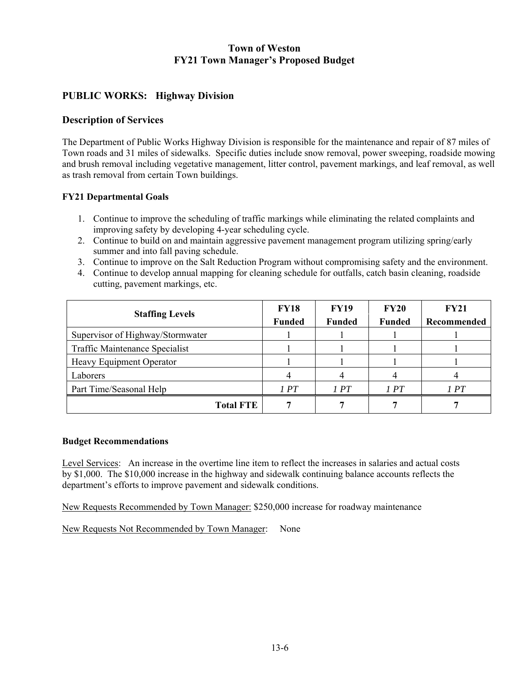## **PUBLIC WORKS: Highway Division**

#### **Description of Services**

The Department of Public Works Highway Division is responsible for the maintenance and repair of 87 miles of Town roads and 31 miles of sidewalks. Specific duties include snow removal, power sweeping, roadside mowing and brush removal including vegetative management, litter control, pavement markings, and leaf removal, as well as trash removal from certain Town buildings.

#### **FY21 Departmental Goals**

- 1. Continue to improve the scheduling of traffic markings while eliminating the related complaints and improving safety by developing 4-year scheduling cycle.
- 2. Continue to build on and maintain aggressive pavement management program utilizing spring/early summer and into fall paving schedule.
- 3. Continue to improve on the Salt Reduction Program without compromising safety and the environment.
- 4. Continue to develop annual mapping for cleaning schedule for outfalls, catch basin cleaning, roadside cutting, pavement markings, etc.

| <b>Staffing Levels</b>           | <b>FY18</b><br><b>Funded</b> | <b>FY19</b><br><b>Funded</b> | <b>FY20</b><br><b>Funded</b> | <b>FY21</b><br>Recommended |
|----------------------------------|------------------------------|------------------------------|------------------------------|----------------------------|
| Supervisor of Highway/Stormwater |                              |                              |                              |                            |
| Traffic Maintenance Specialist   |                              |                              |                              |                            |
| Heavy Equipment Operator         |                              |                              |                              |                            |
| Laborers                         |                              |                              |                              |                            |
| Part Time/Seasonal Help          | 1PT                          | 1PT                          | 1PT                          | 1 PT                       |
| <b>Total FTE</b>                 |                              |                              |                              |                            |

#### **Budget Recommendations**

Level Services: An increase in the overtime line item to reflect the increases in salaries and actual costs by \$1,000. The \$10,000 increase in the highway and sidewalk continuing balance accounts reflects the department's efforts to improve pavement and sidewalk conditions.

New Requests Recommended by Town Manager: \$250,000 increase for roadway maintenance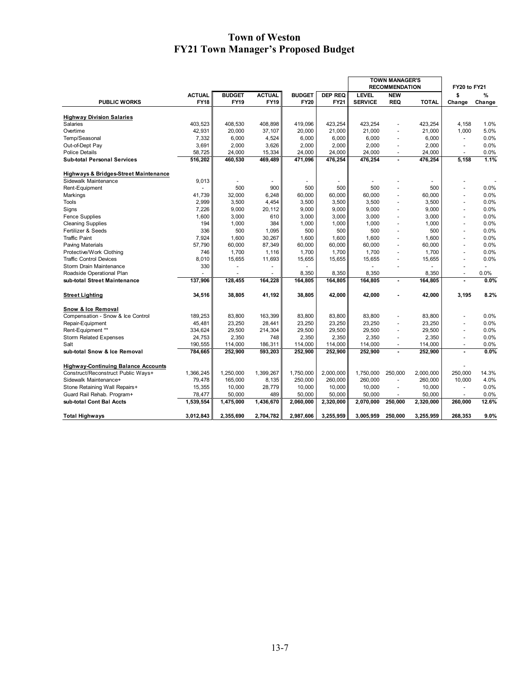|                                                  |               |               |                |               |                | <b>TOWN MANAGER'S</b> |                          |              |                          |        |
|--------------------------------------------------|---------------|---------------|----------------|---------------|----------------|-----------------------|--------------------------|--------------|--------------------------|--------|
|                                                  |               |               |                |               |                | <b>RECOMMENDATION</b> |                          |              | <b>FY20 to FY21</b>      |        |
|                                                  | <b>ACTUAL</b> | <b>BUDGET</b> | <b>ACTUAL</b>  | <b>BUDGET</b> | <b>DEP REQ</b> | <b>LEVEL</b>          | <b>NEW</b>               |              | \$                       | %      |
| <b>PUBLIC WORKS</b>                              | <b>FY18</b>   | <b>FY19</b>   | <b>FY19</b>    | <b>FY20</b>   | FY21           | <b>SERVICE</b>        | <b>REQ</b>               | <b>TOTAL</b> | Change                   | Change |
|                                                  |               |               |                |               |                |                       |                          |              |                          |        |
| <b>Highway Division Salaries</b>                 |               |               |                |               |                |                       |                          |              |                          |        |
| Salaries                                         | 403,523       | 408,530       | 408,898        | 419.096       | 423.254        | 423,254               | ÷,                       | 423,254      | 4,158                    | 1.0%   |
| Overtime                                         | 42,931        | 20,000        | 37,107         | 20,000        | 21,000         | 21,000                | $\overline{\phantom{a}}$ | 21,000       | 1,000                    | 5.0%   |
| Temp/Seasonal                                    | 7,332         | 6,000         | 4,524          | 6,000         | 6,000          | 6,000                 | $\blacksquare$           | 6,000        | $\omega$                 | 0.0%   |
| Out-of-Dept Pay                                  | 3,691         | 2,000         | 3,626          | 2,000         | 2,000          | 2,000                 |                          | 2,000        | $\blacksquare$           | 0.0%   |
| <b>Police Details</b>                            | 58,725        | 24,000        | 15,334         | 24,000        | 24,000         | 24,000                | ÷.                       | 24,000       | ÷                        | 0.0%   |
| <b>Sub-total Personal Services</b>               | 516,202       | 460,530       | 469,489        | 471,096       | 476,254        | 476,254               | $\blacksquare$           | 476,254      | 5,158                    | 1.1%   |
| <b>Highways &amp; Bridges-Street Maintenance</b> |               |               |                |               |                |                       |                          |              |                          |        |
| Sidewalk Maintenance                             | 9,013         |               |                |               |                |                       |                          |              |                          |        |
| Rent-Equipment                                   |               | 500           | 900            | 500           | 500            | 500                   | L.                       | 500          |                          | 0.0%   |
| Markings                                         | 41,739        | 32,000        | 6,248          | 60,000        | 60,000         | 60,000                |                          | 60,000       |                          | 0.0%   |
| <b>Tools</b>                                     | 2,999         | 3,500         | 4,454          | 3,500         | 3,500          | 3,500                 | $\blacksquare$           | 3,500        | $\blacksquare$           | 0.0%   |
| Signs                                            | 7,226         | 9,000         | 20,112         | 9,000         | 9,000          | 9,000                 | $\overline{\phantom{a}}$ | 9,000        | $\ddot{\phantom{1}}$     | 0.0%   |
| <b>Fence Supplies</b>                            | 1,600         | 3,000         | 610            | 3,000         | 3,000          | 3,000                 | ÷,                       | 3,000        | $\blacksquare$           | 0.0%   |
| <b>Cleaning Supplies</b>                         | 194           | 1,000         | 384            | 1,000         | 1,000          | 1,000                 |                          | 1,000        | $\overline{\phantom{a}}$ | 0.0%   |
| Fertilizer & Seeds                               | 336           | 500           | 1,095          | 500           | 500            | 500                   | L.                       | 500          | ÷.                       | 0.0%   |
| <b>Traffic Paint</b>                             | 7,924         | 1,600         | 30,267         | 1,600         | 1,600          | 1,600                 | $\ddot{\phantom{1}}$     | 1,600        | ÷                        | 0.0%   |
| Paving Materials                                 | 57,790        | 60,000        | 87,349         | 60,000        | 60,000         | 60,000                | L,                       | 60,000       |                          | 0.0%   |
| Protective/Work Clothing                         | 746           | 1,700         | 1,116          | 1,700         | 1,700          | 1,700                 | ÷,                       | 1,700        | $\blacksquare$           | 0.0%   |
| <b>Traffic Control Devices</b>                   | 8,010         | 15,655        | 11,693         | 15,655        | 15,655         | 15,655                | ÷,                       | 15,655       |                          | 0.0%   |
|                                                  | 330           | ä,            | ٠              |               |                |                       | ÷,                       |              | $\sim$                   |        |
| Storm Drain Maintenance                          |               | ÷.            |                |               |                |                       |                          |              | ÷                        | 0.0%   |
| Roadside Operational Plan                        |               |               | $\blacksquare$ | 8,350         | 8,350          | 8,350                 |                          | 8,350        |                          |        |
| sub-total Street Maintenance                     | 137,906       | 128,455       | 164,228        | 164,805       | 164,805        | 164,805               | $\overline{a}$           | 164,805      | $\overline{a}$           | 0.0%   |
| <b>Street Lighting</b>                           | 34,516        | 38,805        | 41,192         | 38,805        | 42,000         | 42,000                | $\overline{a}$           | 42,000       | 3,195                    | 8.2%   |
| Snow & Ice Removal                               |               |               |                |               |                |                       |                          |              |                          |        |
| Compensation - Snow & Ice Control                | 189,253       | 83,800        | 163,399        | 83,800        | 83,800         | 83,800                | $\ddot{\phantom{1}}$     | 83,800       |                          | 0.0%   |
| Repair-Equipment                                 | 45,481        | 23,250        | 28,441         | 23,250        | 23,250         | 23,250                | ÷,                       | 23,250       |                          | 0.0%   |
| Rent-Equipment **                                | 334,624       | 29,500        | 214,304        | 29,500        | 29,500         | 29,500                | ٠                        | 29,500       |                          | 0.0%   |
| <b>Storm Related Expenses</b>                    | 24,753        | 2,350         | 748            | 2,350         | 2,350          | 2,350                 |                          | 2,350        |                          | 0.0%   |
| Salt                                             | 190,555       | 114,000       | 186,311        | 114,000       | 114,000        | 114,000               | $\blacksquare$           | 114,000      | $\blacksquare$           | 0.0%   |
| sub-total Snow & Ice Removal                     | 784,665       | 252,900       | 593,203        | 252,900       | 252,900        | 252,900               |                          | 252,900      |                          | 0.0%   |
|                                                  |               |               |                |               |                |                       |                          |              |                          |        |
| <b>Highway-Continuing Balance Accounts</b>       |               |               |                |               |                |                       |                          |              |                          |        |
| Construct/Reconstruct Public Ways+               | 1,366,245     | 1,250,000     | 1,399,267      | 1,750,000     | 2,000,000      | 1,750,000             | 250.000                  | 2,000,000    | 250,000                  | 14.3%  |
| Sidewalk Maintenance+                            | 79,478        | 165,000       | 8,135          | 250,000       | 260,000        | 260,000               | $\ddot{\phantom{1}}$     | 260,000      | 10,000                   | 4.0%   |
| Stone Retaining Wall Repairs+                    | 15,355        | 10,000        | 28,779         | 10,000        | 10,000         | 10,000                | $\blacksquare$           | 10,000       | $\blacksquare$           | 0.0%   |
| Guard Rail Rehab. Program+                       | 78,477        | 50,000        | 489            | 50,000        | 50,000         | 50,000                |                          | 50,000       |                          | 0.0%   |
| sub-total Cont Bal Accts                         | 1,539,554     | 1,475,000     | 1,436,670      | 2,060,000     | 2,320,000      | 2,070,000             | 250,000                  | 2,320,000    | 260,000                  | 12.6%  |
| <b>Total Highways</b>                            | 3,012,843     | 2,355,690     | 2,704,782      | 2,987,606     | 3,255,959      | 3.005.959             | 250.000                  | 3.255.959    | 268.353                  | 9.0%   |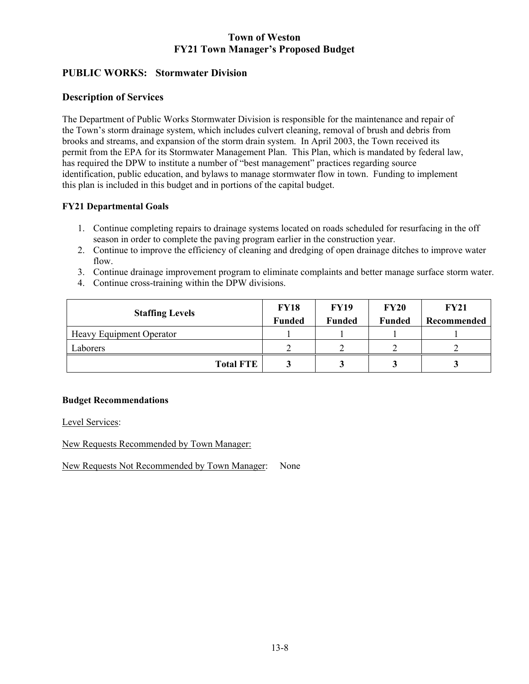# **PUBLIC WORKS: Stormwater Division**

## **Description of Services**

The Department of Public Works Stormwater Division is responsible for the maintenance and repair of the Town's storm drainage system, which includes culvert cleaning, removal of brush and debris from brooks and streams, and expansion of the storm drain system. In April 2003, the Town received its permit from the EPA for its Stormwater Management Plan. This Plan, which is mandated by federal law, has required the DPW to institute a number of "best management" practices regarding source identification, public education, and bylaws to manage stormwater flow in town. Funding to implement this plan is included in this budget and in portions of the capital budget.

### **FY21 Departmental Goals**

- 1. Continue completing repairs to drainage systems located on roads scheduled for resurfacing in the off season in order to complete the paving program earlier in the construction year.
- 2. Continue to improve the efficiency of cleaning and dredging of open drainage ditches to improve water flow.
- 3. Continue drainage improvement program to eliminate complaints and better manage surface storm water.
- 4. Continue cross-training within the DPW divisions.

| <b>Staffing Levels</b>          | <b>FY18</b><br><b>Funded</b> | <b>FY19</b><br><b>Funded</b> | <b>FY20</b><br><b>Funded</b> | <b>FY21</b><br>Recommended |
|---------------------------------|------------------------------|------------------------------|------------------------------|----------------------------|
| <b>Heavy Equipment Operator</b> |                              |                              |                              |                            |
| Laborers                        |                              |                              |                              |                            |
| <b>Total FTE</b>                |                              |                              |                              |                            |

### **Budget Recommendations**

Level Services:

New Requests Recommended by Town Manager: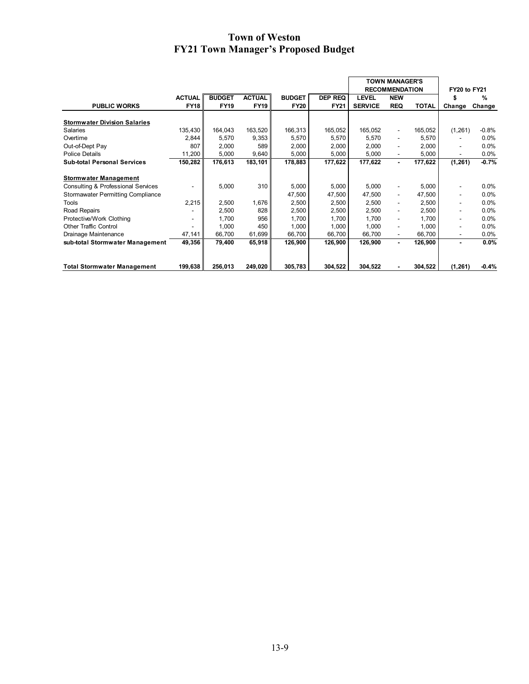|                                          |               |               |               |               |                | <b>TOWN MANAGER'S</b> |                          |              |                          |         |
|------------------------------------------|---------------|---------------|---------------|---------------|----------------|-----------------------|--------------------------|--------------|--------------------------|---------|
|                                          |               |               |               |               |                |                       | <b>RECOMMENDATION</b>    |              | FY20 to FY21             |         |
|                                          | <b>ACTUAL</b> | <b>BUDGET</b> | <b>ACTUAL</b> | <b>BUDGET</b> | <b>DEP REQ</b> | <b>LEVEL</b>          | <b>NEW</b>               |              | \$                       | %       |
| <b>PUBLIC WORKS</b>                      | <b>FY18</b>   | <b>FY19</b>   | <b>FY19</b>   | <b>FY20</b>   | <b>FY21</b>    | <b>SERVICE</b>        | <b>REQ</b>               | <b>TOTAL</b> | Change                   | Change  |
| <b>Stormwater Division Salaries</b>      |               |               |               |               |                |                       |                          |              |                          |         |
| Salaries                                 | 135,430       | 164,043       | 163,520       | 166,313       | 165,052        | 165,052               | ۰                        | 165,052      | (1,261)                  | $-0.8%$ |
| Overtime                                 | 2,844         | 5,570         | 9,353         | 5,570         | 5,570          | 5,570                 | ٠                        | 5,570        |                          | 0.0%    |
| Out-of-Dept Pay                          | 807           | 2,000         | 589           | 2,000         | 2,000          | 2,000                 | ٠                        | 2,000        | $\overline{\phantom{a}}$ | 0.0%    |
| <b>Police Details</b>                    | 11,200        | 5,000         | 9,640         | 5,000         | 5,000          | 5,000                 |                          | 5,000        | $\overline{\phantom{a}}$ | 0.0%    |
| <b>Sub-total Personal Services</b>       | 150,282       | 176,613       | 183,101       | 178,883       | 177,622        | 177,622               | $\sim$                   | 177,622      | (1, 261)                 | $-0.7%$ |
| <b>Stormwater Management</b>             |               |               |               |               |                |                       |                          |              |                          |         |
| Consulting & Professional Services       |               | 5,000         | 310           | 5,000         | 5,000          | 5,000                 |                          | 5,000        | $\overline{\phantom{a}}$ | $0.0\%$ |
| <b>Stormawater Permitting Compliance</b> |               |               |               | 47,500        | 47,500         | 47,500                | ٠                        | 47,500       | ۰                        | $0.0\%$ |
| Tools                                    | 2,215         | 2,500         | 1,676         | 2,500         | 2,500          | 2,500                 | ٠                        | 2,500        | ۰                        | 0.0%    |
| Road Repairs                             |               | 2,500         | 828           | 2,500         | 2,500          | 2,500                 | ٠                        | 2,500        | ۰                        | 0.0%    |
| Protective/Work Clothing                 |               | 1,700         | 956           | 1,700         | 1,700          | 1,700                 | ٠                        | 1,700        | ۰                        | 0.0%    |
| <b>Other Traffic Control</b>             | -             | 1,000         | 450 l         | 1,000         | 1,000          | 1,000                 | ٠                        | 1,000        | $\overline{\phantom{a}}$ | 0.0%    |
| Drainage Maintenance                     | 47,141        | 66,700        | 61,699        | 66,700        | 66,700         | 66,700                | $\overline{\phantom{0}}$ | 66,700       | $\overline{\phantom{a}}$ | $0.0\%$ |
| sub-total Stormwater Management          | 49,356        | 79,400        | 65,918        | 126,900       | 126,900        | 126,900               | $\sim$                   | 126,900      | ٠                        | 0.0%    |
| <b>Total Stormwater Management</b>       | 199,638       | 256,013       | 249,020       | 305,783       | 304,522        | 304,522               |                          | 304,522      | (1, 261)                 | $-0.4%$ |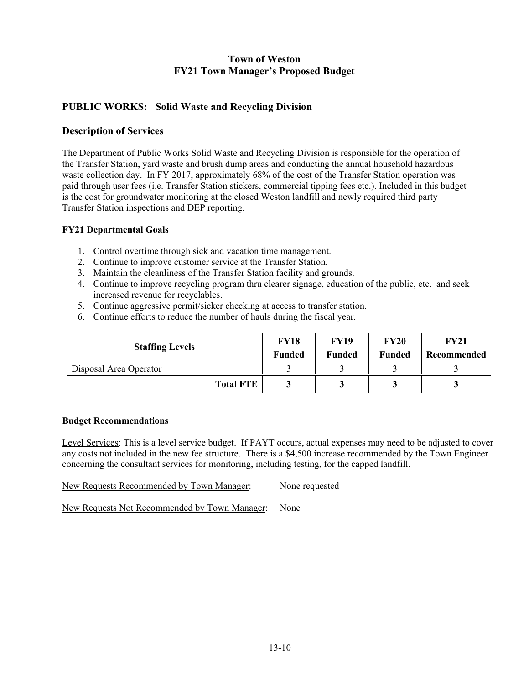## **PUBLIC WORKS: Solid Waste and Recycling Division**

## **Description of Services**

The Department of Public Works Solid Waste and Recycling Division is responsible for the operation of the Transfer Station, yard waste and brush dump areas and conducting the annual household hazardous waste collection day. In FY 2017, approximately 68% of the cost of the Transfer Station operation was paid through user fees (i.e. Transfer Station stickers, commercial tipping fees etc.). Included in this budget is the cost for groundwater monitoring at the closed Weston landfill and newly required third party Transfer Station inspections and DEP reporting.

### **FY21 Departmental Goals**

- 1. Control overtime through sick and vacation time management.
- 2. Continue to improve customer service at the Transfer Station.
- 3. Maintain the cleanliness of the Transfer Station facility and grounds.
- 4. Continue to improve recycling program thru clearer signage, education of the public, etc. and seek increased revenue for recyclables.
- 5. Continue aggressive permit/sicker checking at access to transfer station.
- 6. Continue efforts to reduce the number of hauls during the fiscal year.

| <b>Staffing Levels</b> | <b>FY18</b><br><b>Funded</b> | <b>FY19</b><br><b>Funded</b> | <b>FY20</b><br><b>Funded</b> | <b>FY21</b><br>Recommended |
|------------------------|------------------------------|------------------------------|------------------------------|----------------------------|
| Disposal Area Operator |                              |                              |                              |                            |
| <b>Total FTE</b>       |                              |                              |                              |                            |

#### **Budget Recommendations**

Level Services: This is a level service budget. If PAYT occurs, actual expenses may need to be adjusted to cover any costs not included in the new fee structure. There is a \$4,500 increase recommended by the Town Engineer concerning the consultant services for monitoring, including testing, for the capped landfill.

| New Requests Recommended by Town Manager: | None requested |
|-------------------------------------------|----------------|
|                                           |                |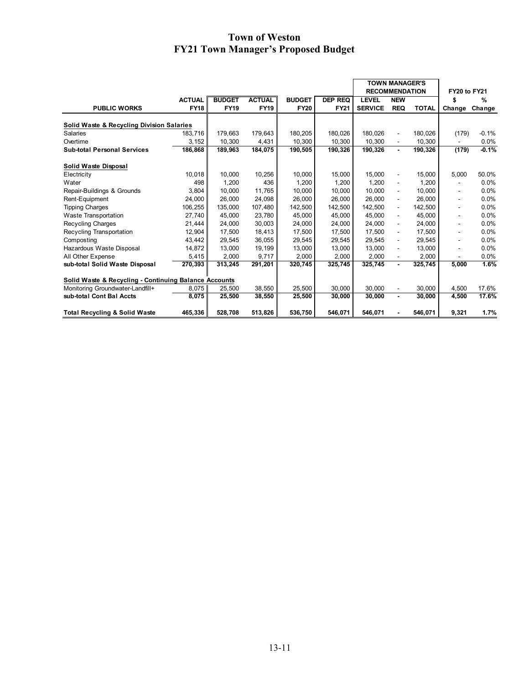|                                                       |               |               |               |               |                | <b>TOWN MANAGER'S</b> |                          |              |              |         |  |
|-------------------------------------------------------|---------------|---------------|---------------|---------------|----------------|-----------------------|--------------------------|--------------|--------------|---------|--|
|                                                       |               |               |               |               |                | <b>RECOMMENDATION</b> |                          |              | FY20 to FY21 |         |  |
|                                                       | <b>ACTUAL</b> | <b>BUDGET</b> | <b>ACTUAL</b> | <b>BUDGET</b> | <b>DEP REQ</b> | <b>LEVEL</b>          | <b>NEW</b>               |              | \$           | %       |  |
| <b>PUBLIC WORKS</b>                                   | <b>FY18</b>   | <b>FY19</b>   | <b>FY19</b>   | <b>FY20</b>   | <b>FY21</b>    | <b>SERVICE</b>        | <b>REQ</b>               | <b>TOTAL</b> | Change       | Change  |  |
|                                                       |               |               |               |               |                |                       |                          |              |              |         |  |
| Solid Waste & Recycling Division Salaries<br>Salaries | 183.716       | 179.663       | 179.643       | 180,205       | 180.026        | 180.026               |                          | 180.026      | (179)        | $-0.1%$ |  |
| Overtime                                              |               |               |               | 10,300        | 10,300         | 10,300                | $\overline{\phantom{a}}$ |              |              |         |  |
|                                                       | 3,152         | 10,300        | 4,431         |               |                |                       | $\blacksquare$           | 10,300       |              | $0.0\%$ |  |
| <b>Sub-total Personal Services</b>                    | 186.868       | 189,963       | 184,075       | 190,505       | 190,326        | 190,326               | $\blacksquare$           | 190,326      | (179)        | $-0.1%$ |  |
| Solid Waste Disposal                                  |               |               |               |               |                |                       |                          |              |              |         |  |
| Electricity                                           | 10.018        | 10,000        | 10,256        | 10,000        | 15.000         | 15,000                | $\overline{\phantom{a}}$ | 15.000       | 5,000        | 50.0%   |  |
| Water                                                 | 498           | 1,200         | 436           | 1.200         | 1.200          | 1.200                 | $\blacksquare$           | 1.200        |              | $0.0\%$ |  |
| Repair-Buildings & Grounds                            | 3,804         | 10,000        | 11.765        | 10,000        | 10.000         | 10.000                | $\blacksquare$           | 10,000       |              | 0.0%    |  |
| Rent-Equipment                                        | 24,000        | 26,000        | 24,098        | 26,000        | 26.000         | 26.000                | $\blacksquare$           | 26,000       |              | 0.0%    |  |
| <b>Tipping Charges</b>                                | 106,255       | 135.000       | 107,480       | 142.500       | 142.500        | 142.500               | $\overline{\phantom{a}}$ | 142,500      | ۰            | 0.0%    |  |
| Waste Transportation                                  | 27,740        | 45,000        | 23,780        | 45,000        | 45.000         | 45.000                | $\overline{\phantom{a}}$ | 45.000       | ٠            | 0.0%    |  |
| Recycling Charges                                     | 21,444        | 24,000        | 30,003        | 24,000        | 24.000         | 24.000                | $\blacksquare$           | 24.000       | ٠            | 0.0%    |  |
| Recycling Transportation                              | 12,904        | 17,500        | 18,413        | 17,500        | 17.500         | 17.500                | $\blacksquare$           | 17,500       |              | 0.0%    |  |
| Composting                                            | 43,442        | 29,545        | 36,055        | 29,545        | 29,545         | 29,545                | $\blacksquare$           | 29,545       | ٠            | 0.0%    |  |
| Hazardous Waste Disposal                              | 14,872        | 13.000        | 19.199        | 13,000        | 13.000         | 13.000                | $\overline{\phantom{a}}$ | 13.000       |              | 0.0%    |  |
| All Other Expense                                     | 5,415         | 2,000         | 9,717         | 2,000         | 2,000          | 2,000                 | $\blacksquare$           | 2,000        |              | 0.0%    |  |
| sub-total Solid Waste Disposal                        | 270,393       | 313,245       | 291,201       | 320,745       | 325,745        | 325,745               | $\blacksquare$           | 325,745      | 5.000        | 1.6%    |  |
|                                                       |               |               |               |               |                |                       |                          |              |              |         |  |
| Solid Waste & Recycling - Continuing Balance Accounts |               |               |               |               |                |                       |                          |              |              |         |  |
| Monitoring Groundwater-Landfill+                      | 8,075         | 25,500        | 38,550        | 25,500        | 30.000         | 30.000                | $\blacksquare$           | 30.000       | 4.500        | 17.6%   |  |
| sub-total Cont Bal Accts                              | 8,075         | 25,500        | 38,550        | 25,500        | 30.000         | 30.000                | $\blacksquare$           | 30,000       | 4.500        | 17.6%   |  |
| <b>Total Recycling &amp; Solid Waste</b>              | 465,336       | 528.708       | 513,826       | 536,750       | 546.071        | 546.071               |                          | 546.071      | 9,321        | 1.7%    |  |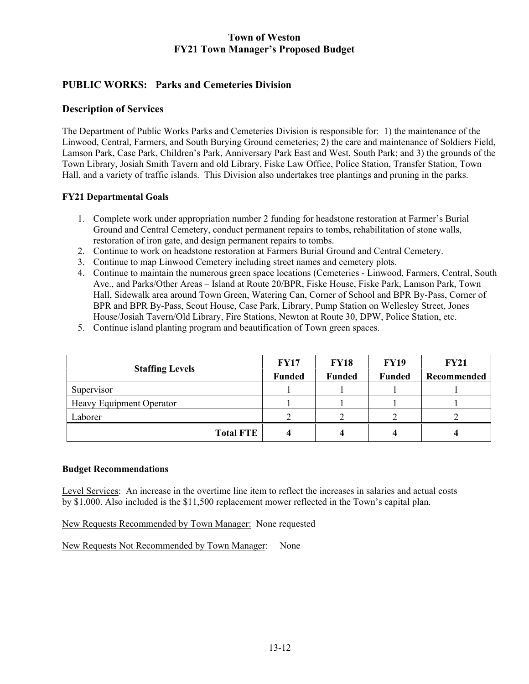# **PUBLIC WORKS: Parks and Cemeteries Division**

### **Description of Services**

The Department of Public Works Parks and Cemeteries Division is responsible for: 1) the maintenance of the Linwood, Central, Farmers, and South Burying Ground cemeteries; 2) the care and maintenance of Soldiers Field, Lamson Park, Case Park, Children's Park, Anniversary Park East and West, South Park; and 3) the grounds of the Town Library, Josiah Smith Tavern and old Library, Fiske Law Office, Police Station, Transfer Station, Town Hall, and a variety of traffic islands. This Division also undertakes tree plantings and pruning in the parks.

### **FY21 Departmental Goals**

- 1. Complete work under appropriation number 2 funding for headstone restoration at Farmer's Burial Ground and Central Cemetery, conduct permanent repairs to tombs, rehabilitation of stone walls, restoration of iron gate, and design permanent repairs to tombs.
- 2. Continue to work on headstone restoration at Farmers Burial Ground and Central Cemetery.
- 3. Continue to map Linwood Cemetery including street names and cemetery plots.
- 4. Continue to maintain the numerous green space locations (Cemeteries Linwood, Farmers, Central, South Ave., and Parks/Other Areas – Island at Route 20/BPR, Fiske House, Fiske Park, Lamson Park, Town Hall, Sidewalk area around Town Green, Watering Can, Corner of School and BPR By-Pass, Corner of BPR and BPR By-Pass, Scout House, Case Park, Library, Pump Station on Wellesley Street, Jones House/Josiah Tavern/Old Library, Fire Stations, Newton at Route 30, DPW, Police Station, etc.
- 5. Continue island planting program and beautification of Town green spaces.

| <b>Staffing Levels</b>   | <b>FY17</b>   | <b>FY18</b>   | <b>FY19</b>   | <b>FY21</b> |
|--------------------------|---------------|---------------|---------------|-------------|
|                          | <b>Funded</b> | <b>Funded</b> | <b>Funded</b> | Recommended |
| Supervisor               |               |               |               |             |
| Heavy Equipment Operator |               |               |               |             |
| Laborer                  |               |               |               |             |
| <b>Total FTE</b>         |               |               |               |             |

#### **Budget Recommendations**

Level Services: An increase in the overtime line item to reflect the increases in salaries and actual costs by \$1,000. Also included is the \$11,500 replacement mower reflected in the Town's capital plan.

New Requests Recommended by Town Manager: None requested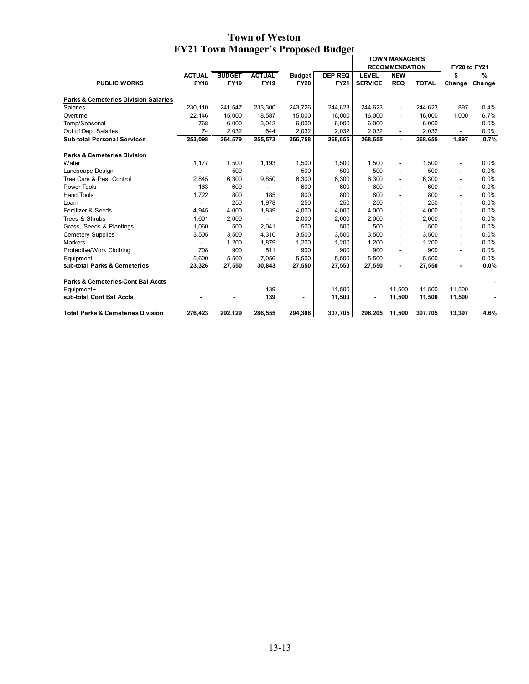|                                                 |               |               |               |                |                | <b>TOWN MANAGER'S</b> |                          |                     |                          |        |
|-------------------------------------------------|---------------|---------------|---------------|----------------|----------------|-----------------------|--------------------------|---------------------|--------------------------|--------|
|                                                 |               |               |               |                |                | <b>RECOMMENDATION</b> |                          | <b>FY20 to FY21</b> |                          |        |
|                                                 | <b>ACTUAL</b> | <b>BUDGET</b> | <b>ACTUAL</b> | <b>Budget</b>  | <b>DEP REQ</b> | <b>LEVEL</b>          | <b>NEW</b>               |                     | \$                       | %      |
| <b>PUBLIC WORKS</b>                             | <b>FY18</b>   | <b>FY19</b>   | <b>FY19</b>   | <b>FY20</b>    | <b>FY21</b>    | <b>SERVICE</b>        | <b>REQ</b>               | <b>TOTAL</b>        | Change                   | Change |
|                                                 |               |               |               |                |                |                       |                          |                     |                          |        |
| <b>Parks &amp; Cemeteries Division Salaries</b> |               |               |               |                |                |                       |                          |                     |                          |        |
| <b>Salaries</b>                                 | 230.110       | 241,547       | 233,300       | 243,726        | 244.623        | 244,623               | $\blacksquare$           | 244.623             | 897                      | 0.4%   |
| Overtime                                        | 22.146        | 15,000        | 18,587        | 15,000         | 16.000         | 16.000                |                          | 16,000              | 1,000                    | 6.7%   |
| Temp/Seasonal                                   | 768           | 6,000         | 3,042         | 6,000          | 6.000          | 6,000                 | $\overline{\phantom{a}}$ | 6,000               |                          | 0.0%   |
| Out of Dept Salaries                            | 74            | 2,032         | 644           | 2,032          | 2,032          | 2,032                 | $\blacksquare$           | 2,032               | ٠                        | 0.0%   |
| <b>Sub-total Personal Services</b>              | 253,098       | 264,579       | 255,573       | 266,758        | 268,655        | 268,655               | $\blacksquare$           | 268,655             | 1.897                    | 0.7%   |
| <b>Parks &amp; Cemeteries Division</b>          |               |               |               |                |                |                       |                          |                     |                          |        |
| Water                                           | 1,177         | 1,500         | 1,193         | 1,500          | 1,500          | 1,500                 |                          | 1,500               |                          | 0.0%   |
| Landscape Design                                |               | 500           |               | 500            | 500            | 500                   |                          | 500                 |                          | 0.0%   |
| Tree Care & Pest Control                        | 2,845         | 6,300         | 9,850         | 6,300          | 6,300          | 6.300                 | $\blacksquare$           | 6,300               |                          | 0.0%   |
| Power Tools                                     | 163           | 600           |               | 600            | 600            | 600                   | $\blacksquare$           | 600                 | $\overline{\phantom{a}}$ | 0.0%   |
| <b>Hand Tools</b>                               | 1,722         | 800           | 185           | 800            | 800            | 800                   |                          | 800                 | ٠                        | 0.0%   |
| Loam                                            |               | 250           | 1,978         | 250            | 250            | 250                   | $\blacksquare$           | 250                 | ٠                        | 0.0%   |
| Fertilizer & Seeds                              | 4,945         | 4,000         | 1,839         | 4,000          | 4.000          | 4,000                 | $\blacksquare$           | 4,000               | ٠                        | 0.0%   |
| Trees & Shrubs                                  | 1,601         | 2.000         |               | 2.000          | 2.000          | 2.000                 | $\overline{\phantom{a}}$ | 2,000               | $\overline{\phantom{a}}$ | 0.0%   |
| Grass, Seeds & Plantings                        | 1,060         | 500           | 2,041         | 500            | 500            | 500                   | $\blacksquare$           | 500                 | ٠                        | 0.0%   |
| <b>Cemetery Supplies</b>                        | 3,505         | 3,500         | 4,310         | 3,500          | 3,500          | 3.500                 |                          | 3,500               | $\overline{\phantom{a}}$ | 0.0%   |
| <b>Markers</b>                                  |               | 1,200         | 1,879         | 1,200          | 1,200          | 1.200                 | $\blacksquare$           | 1.200               |                          | 0.0%   |
| Protective/Work Clothing                        | 708           | 900           | 511           | 900            | 900            | 900                   | $\blacksquare$           | 900                 | ٠                        | 0.0%   |
| Equipment                                       | 5.600         | 5,500         | 7,056         | 5,500          | 5.500          | 5,500                 | $\blacksquare$           | 5,500               | $\overline{\phantom{a}}$ | 0.0%   |
| sub-total Parks & Cemeteries                    | 23,326        | 27,550        | 30,843        | 27,550         | 27,550         | 27,550                | $\blacksquare$           | 27,550              | $\blacksquare$           | 0.0%   |
| Parks & Cemeteries-Cont Bal Accts               |               |               |               |                |                |                       |                          |                     |                          |        |
| Equipment+                                      |               |               | 139           | $\blacksquare$ | 11,500         |                       | 11,500                   | 11,500              | 11,500                   |        |
| sub-total Cont Bal Accts                        |               |               | 139           |                | 11,500         | $\blacksquare$        | 11,500                   | 11,500              | 11,500                   |        |
|                                                 |               |               |               |                |                |                       |                          |                     |                          |        |
| <b>Total Parks &amp; Cemeteries Division</b>    | 276,423       | 292,129       | 286,555       | 294,308        | 307,705        | 296.205               | 11,500                   | 307.705             | 13,397                   | 4.6%   |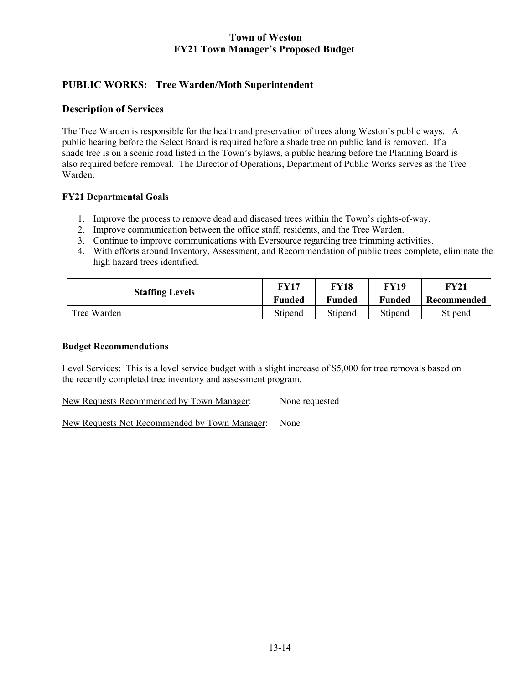# **PUBLIC WORKS: Tree Warden/Moth Superintendent**

### **Description of Services**

The Tree Warden is responsible for the health and preservation of trees along Weston's public ways. A public hearing before the Select Board is required before a shade tree on public land is removed. If a shade tree is on a scenic road listed in the Town's bylaws, a public hearing before the Planning Board is also required before removal. The Director of Operations, Department of Public Works serves as the Tree Warden.

### **FY21 Departmental Goals**

- 1. Improve the process to remove dead and diseased trees within the Town's rights-of-way.
- 2. Improve communication between the office staff, residents, and the Tree Warden.
- 3. Continue to improve communications with Eversource regarding tree trimming activities.
- 4. With efforts around Inventory, Assessment, and Recommendation of public trees complete, eliminate the high hazard trees identified.

| <b>Staffing Levels</b> | <b>FY17</b>   | FY18          | <b>FY19</b>   | FY21        |
|------------------------|---------------|---------------|---------------|-------------|
|                        | <b>Funded</b> | <b>Funded</b> | <b>Funded</b> | Recommended |
| Tree Warden            | Stipend       | Stipend       | Stipend       | Stipend     |

#### **Budget Recommendations**

Level Services: This is a level service budget with a slight increase of \$5,000 for tree removals based on the recently completed tree inventory and assessment program.

New Requests Recommended by Town Manager: None requested